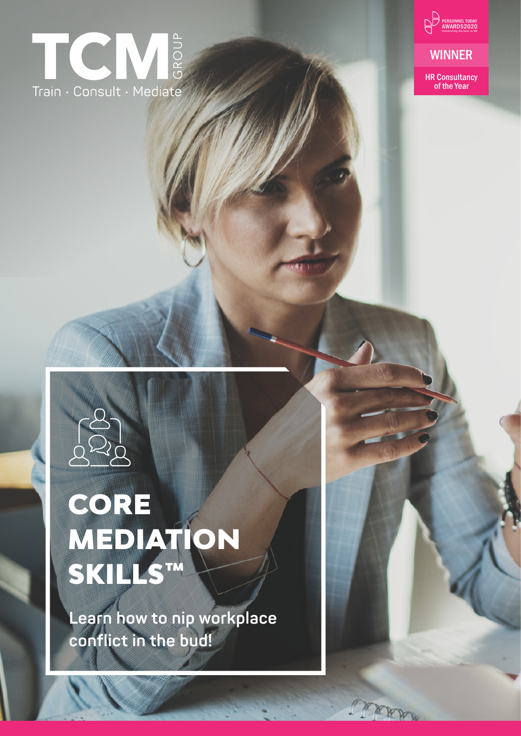# TCM & Train · Consult · Mediate



**WINNER** 

HR Consultancy of the Year



# CORE MEDIATION SKILLS™

**Learn how to nip workplace conflict in the bud!**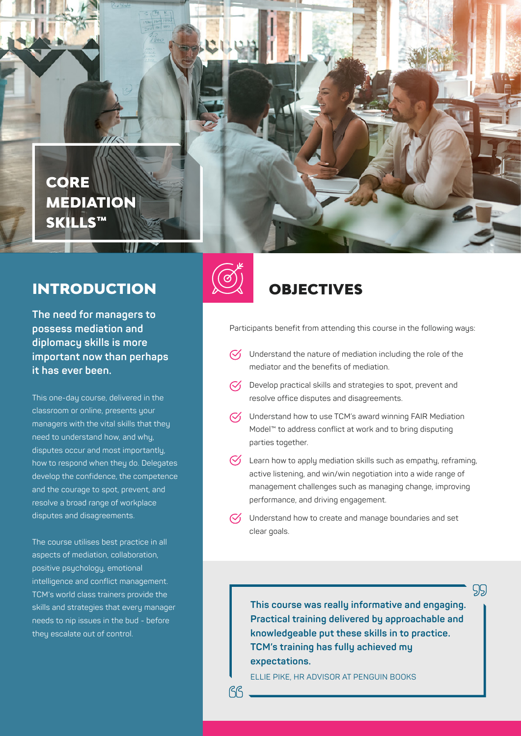

### INTRODUCTION

**The need for managers to possess mediation and diplomacy skills is more important now than perhaps it has ever been.** 

This one-day course, delivered in the classroom or online, presents your managers with the vital skills that they need to understand how, and why, disputes occur and most importantly, how to respond when they do. Delegates develop the confidence, the competence and the courage to spot, prevent, and resolve a broad range of workplace disputes and disagreements.

The course utilises best practice in all aspects of mediation, collaboration, positive psychology, emotional intelligence and conflict management. TCM's world class trainers provide the skills and strategies that every manager needs to nip issues in the bud - before they escalate out of control.



**RR** 

### OBJECTIVES

Participants benefit from attending this course in the following ways:

- $\heartsuit$  Understand the nature of mediation including the role of the mediator and the benefits of mediation.
- $\heartsuit$  Develop practical skills and strategies to spot, prevent and resolve office disputes and disagreements.
- $\sqrt{\phantom{a}}$  Understand how to use TCM's award winning FAIR Mediation Model™ to address conflict at work and to bring disputing parties together.
- $\bigcirc$  Learn how to apply mediation skills such as empathy, reframing, active listening, and win/win negotiation into a wide range of management challenges such as managing change, improving performance, and driving engagement.
- $\heartsuit$  Understand how to create and manage boundaries and set clear goals.

**This course was really informative and engaging. Practical training delivered by approachable and knowledgeable put these skills in to practice. TCM's training has fully achieved my expectations.**

99

ELLIE PIKE, HR ADVISOR AT PENGUIN BOOKS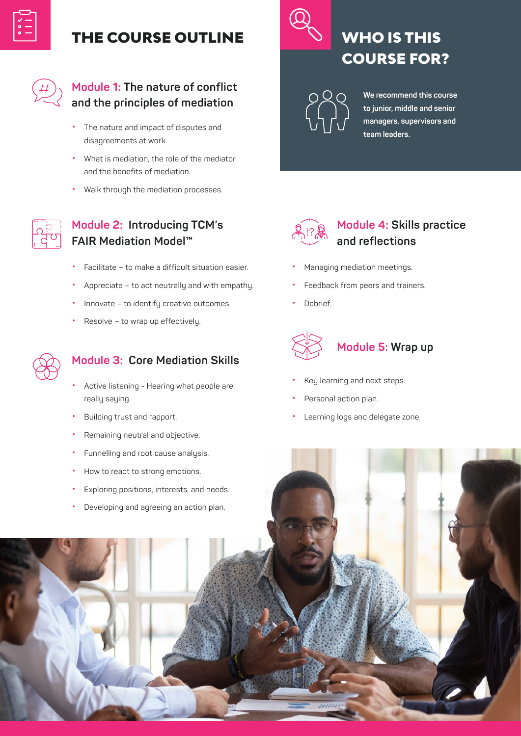

### THE COURSE OUTLINE



#### **Module 1: The nature of conflict and the principles of mediation**

- The nature and impact of disputes and disagreements at work.
- What is mediation, the role of the mediator and the benefits of mediation.
- Walk through the mediation processes.



### **Module 2: Introducing TCM's FAIR Mediation Model™**

- Facilitate to make a difficult situation easier.
- Appreciate to act neutrally and with empathy.
- Innovate to identify creative outcomes.
- Resolve to wrap up effectively.



### **Module 3: Core Mediation Skills**

- Active listening Hearing what people are really saying.
- Building trust and rapport.
- Remaining neutral and objective.
- Funnelling and root cause analysis.
- How to react to strong emotions.



# WHO IS THIS COURSE FOR?

**We recommend this course to junior, middle and senior managers, supervisors and team leaders.**



### **Module 4: Skills practice and reflections**

- Managing mediation meetings.
- Feedback from peers and trainers.
- Debrief.



### **Module 5: Wrap up**

- Key learning and next steps.
- Personal action plan.
- Learning logs and delegate zone.